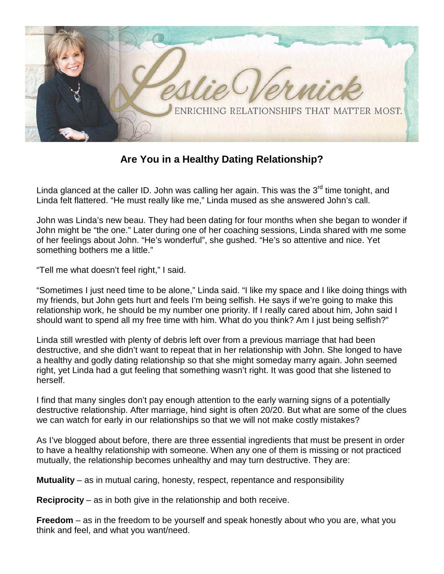

**Are You in a Healthy Dating Relationship?**

Linda glanced at the caller ID. John was calling her again. This was the  $3<sup>rd</sup>$  time tonight, and Linda felt flattered. "He must really like me," Linda mused as she answered John's call.

John was Linda's new beau. They had been dating for four months when she began to wonder if John might be "the one." Later during one of her coaching sessions, Linda shared with me some of her feelings about John. "He's wonderful", she gushed. "He's so attentive and nice. Yet something bothers me a little."

"Tell me what doesn't feel right," I said.

"Sometimes I just need time to be alone," Linda said. "I like my space and I like doing things with my friends, but John gets hurt and feels I'm being selfish. He says if we're going to make this relationship work, he should be my number one priority. If I really cared about him, John said I should want to spend all my free time with him. What do you think? Am I just being selfish?"

Linda still wrestled with plenty of debris left over from a previous marriage that had been destructive, and she didn't want to repeat that in her relationship with John. She longed to have a healthy and godly dating relationship so that she might someday marry again. John seemed right, yet Linda had a gut feeling that something wasn't right. It was good that she listened to herself.

I find that many singles don't pay enough attention to the early warning signs of a potentially destructive relationship. After marriage, hind sight is often 20/20. But what are some of the clues we can watch for early in our relationships so that we will not make costly mistakes?

As I've blogged about before, there are three essential ingredients that must be present in order to have a healthy relationship with someone. When any one of them is missing or not practiced mutually, the relationship becomes unhealthy and may turn destructive. They are:

**Mutuality** – as in mutual caring, honesty, respect, repentance and responsibility

**Reciprocity** – as in both give in the relationship and both receive.

**Freedom** – as in the freedom to be yourself and speak honestly about who you are, what you think and feel, and what you want/need.